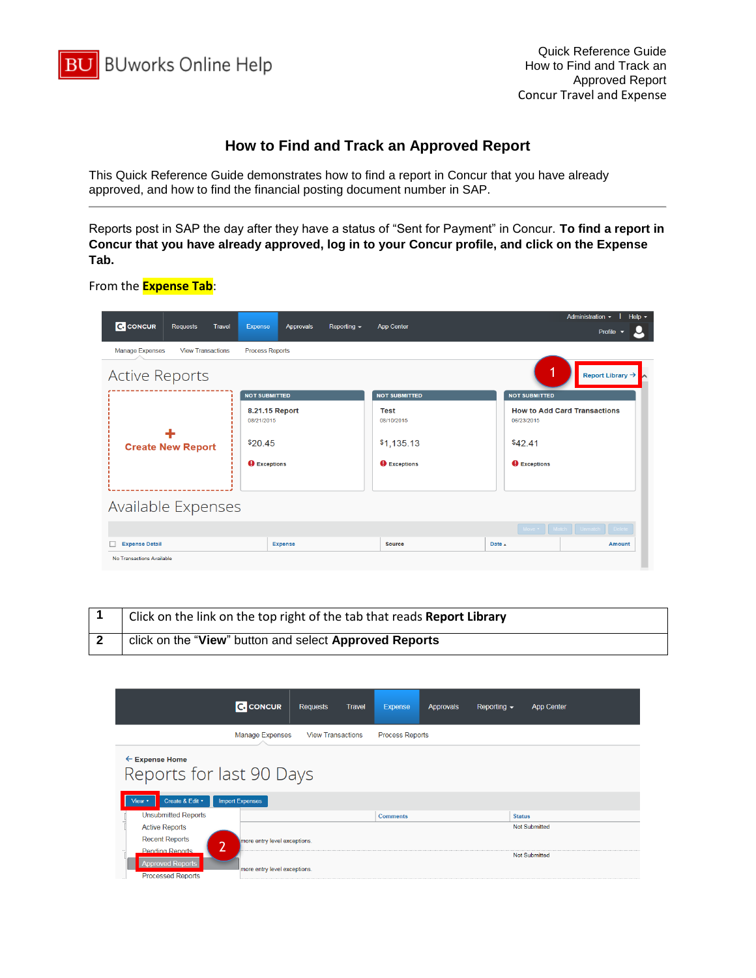

## **How to Find and Track an Approved Report**

This Quick Reference Guide demonstrates how to find a report in Concur that you have already approved, and how to find the financial posting document number in SAP.

Reports post in SAP the day after they have a status of "Sent for Payment" in Concur. **To find a report in Concur that you have already approved, log in to your Concur profile, and click on the Expense Tab.**

## From the **Expense Tab**:

|                           |                          |        |                              |                |                     |                           |                      | Administration -<br>Help $\sim$                      |
|---------------------------|--------------------------|--------|------------------------------|----------------|---------------------|---------------------------|----------------------|------------------------------------------------------|
| <b>C.</b> CONCUR          | <b>Requests</b>          | Travel | Expense                      | Approvals      | Reporting $\sim$    | <b>App Center</b>         |                      | Profile $\sim$                                       |
| <b>Manage Expenses</b>    | <b>View Transactions</b> |        | <b>Process Reports</b>       |                |                     |                           |                      |                                                      |
| <b>Active Reports</b>     |                          |        |                              |                |                     |                           |                      | Report Library $\rightarrow \rightarrow \rightarrow$ |
|                           |                          |        | <b>NOT SUBMITTED</b>         |                |                     | <b>NOT SUBMITTED</b>      | <b>NOT SUBMITTED</b> |                                                      |
|                           |                          |        | 8.21.15 Report<br>08/21/2015 |                |                     | <b>Test</b><br>08/10/2015 | 06/23/2015           | <b>How to Add Card Transactions</b>                  |
| <b>Create New Report</b>  |                          |        | \$20.45                      |                | \$1,135.13          | \$42.41                   |                      |                                                      |
|                           |                          |        | <b>O</b> Exceptions          |                | <b>O</b> Exceptions | <b>Q</b> Exceptions       |                      |                                                      |
|                           |                          |        |                              |                |                     |                           |                      |                                                      |
| Available Expenses        |                          |        |                              |                |                     |                           |                      |                                                      |
|                           |                          |        |                              |                |                     |                           |                      | Move v Match Unmatch Delete                          |
| <b>Expense Detail</b>     |                          |        |                              | <b>Expense</b> |                     | <b>Source</b>             | Date A               | <b>Amount</b>                                        |
| No Transactions Available |                          |        |                              |                |                     |                           |                      |                                                      |

| Click on the link on the top right of the tab that reads Report Library |
|-------------------------------------------------------------------------|
| click on the "View" button and select Approved Reports                  |

|                                                                                           | <b>C.</b> CONCUR                               | <b>Requests</b>          | <b>Travel</b> | <b>Expense</b>         | Approvals | Reporting $\sim$ | <b>App Center</b>    |  |
|-------------------------------------------------------------------------------------------|------------------------------------------------|--------------------------|---------------|------------------------|-----------|------------------|----------------------|--|
|                                                                                           | <b>Manage Expenses</b>                         | <b>View Transactions</b> |               | <b>Process Reports</b> |           |                  |                      |  |
| $\leftarrow$ Expense Home<br>Reports for last 90 Days<br>Create & Edit v<br>View <b>v</b> | <b>Import Expenses</b>                         |                          |               |                        |           |                  |                      |  |
| <b>Unsubmitted Reports</b>                                                                |                                                |                          |               | <b>Comments</b>        |           |                  | <b>Status</b>        |  |
| <b>Active Reports</b>                                                                     |                                                |                          |               |                        |           |                  | <b>Not Submitted</b> |  |
| <b>Recent Reports</b><br><b>Pending Reports</b>                                           | more entry level exceptions.<br>$\overline{2}$ |                          |               |                        |           |                  |                      |  |
| <b>Approved Reports</b><br><b>Processed Reports</b>                                       | more entry level exceptions.                   |                          |               |                        |           |                  | <b>Not Submitted</b> |  |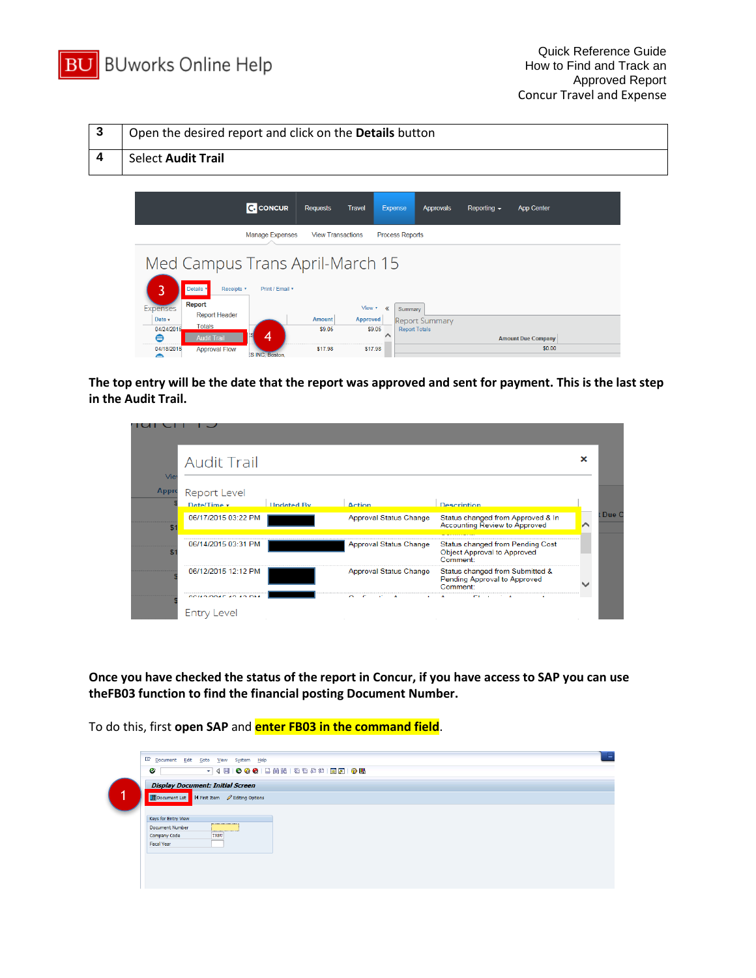

| 3                | Open the desired report and click on the <b>Details</b> button                                                                                                                                                                                                                                                                           |
|------------------|------------------------------------------------------------------------------------------------------------------------------------------------------------------------------------------------------------------------------------------------------------------------------------------------------------------------------------------|
| $\boldsymbol{4}$ | <b>Select Audit Trail</b>                                                                                                                                                                                                                                                                                                                |
|                  |                                                                                                                                                                                                                                                                                                                                          |
|                  | <b>C</b> CONCUR<br><b>Requests</b><br><b>Travel</b><br><b>Expense</b><br>Approvals<br>Reporting $\sim$<br><b>App Center</b>                                                                                                                                                                                                              |
|                  | <b>View Transactions</b><br><b>Process Reports</b><br><b>Manage Expenses</b>                                                                                                                                                                                                                                                             |
|                  | Med Campus Trans April-March 15<br>3<br>Details *<br>Receipts <b>v</b><br>Print / Email *                                                                                                                                                                                                                                                |
|                  | Report<br><b>Expenses</b><br>View *<br>≪<br>Summary<br><b>Report Header</b><br><b>Amount</b><br><b>Approved</b><br>Date v<br><b>Report Summary</b><br><b>Totals</b><br>04/24/2015<br>\$9.05<br>\$9.05<br><b>Report Totals</b><br>4<br>⊜<br><b>Audit Trail</b><br><b>Amount Due Company</b><br>\$0.00<br>04/18/2015<br>\$17.98<br>\$17.98 |
|                  | <b>Approval Flow</b><br><b>SINC Boston</b>                                                                                                                                                                                                                                                                                               |

**The top entry will be the date that the report was approved and sent for payment. This is the last step in the Audit Trail.** 

| Vie   | <b>Audit Trail</b>                 |                   |                               |                                                                                    | × |
|-------|------------------------------------|-------------------|-------------------------------|------------------------------------------------------------------------------------|---|
| Appro | <b>Report Level</b><br>Date/Time v | <b>Undated By</b> | <b>Action</b>                 | <b>Description</b>                                                                 |   |
| \$.   | 06/17/2015 03:22 PM                |                   | Approval Status Change        | Status changed from Approved & In<br><b>Accounting Review to Approved</b>          |   |
|       | 06/14/2015 03:31 PM                |                   | Approval Status Change        | Status changed from Pending Cost<br><b>Object Approval to Approved</b><br>Comment: |   |
|       | 06/12/2015 12:12 PM                |                   | <b>Approval Status Change</b> | Status changed from Submitted &<br>Pending Approval to Approved<br>Comment:        |   |

**Once you have checked the status of the report in Concur, if you have access to SAP you can use theFB03 function to find the financial posting Document Number.**

To do this, first **open SAP** and **enter FB03 in the command field**.

| Ø                                                      | Document Edit Goto View System Help<br>▼ 4 日   0 0 0 1 2 1 1 1 1 2 1 2 1 2 1 8 2 1 0 1 8                              |
|--------------------------------------------------------|-----------------------------------------------------------------------------------------------------------------------|
|                                                        | <b>Display Document: Initial Screen</b><br><b>Figure 1</b> Document List <b>H</b> First Item <b>C</b> Editing Options |
| Keys for Entry View<br>Document Number<br>Company Code | <br><br>TRBU                                                                                                          |
| <b>Fiscal Year</b>                                     |                                                                                                                       |
|                                                        |                                                                                                                       |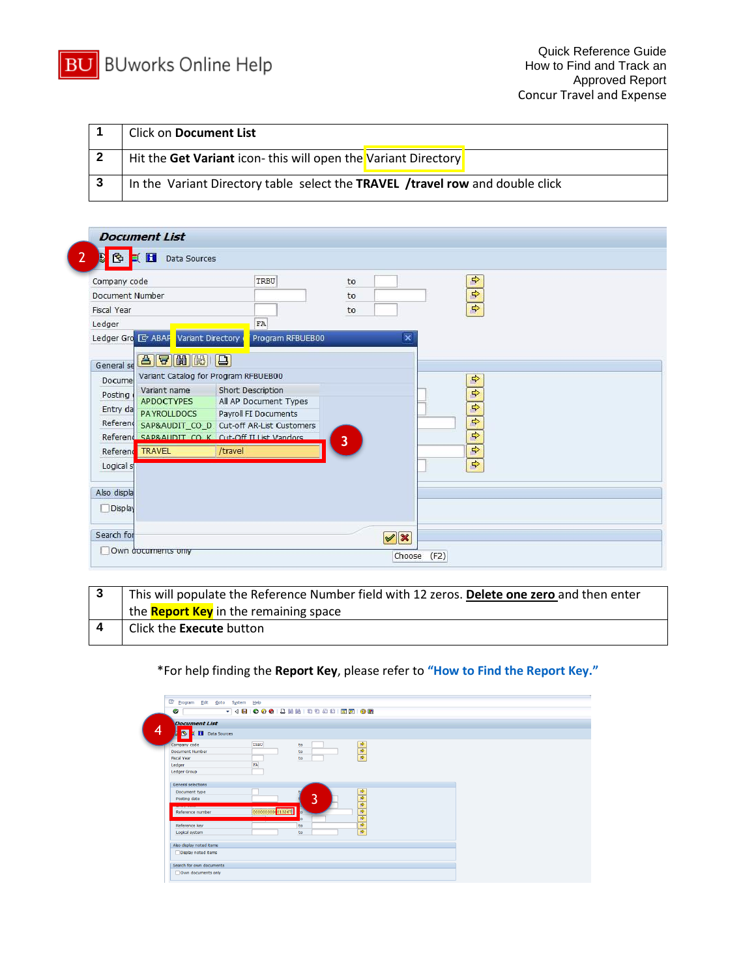

| <b>Click on Document List</b>                                                 |
|-------------------------------------------------------------------------------|
| Hit the Get Variant icon-this will open the Variant Directory                 |
| In the Variant Directory table select the TRAVEL /travel row and double click |

| Company code                                                                                                                                                                                                           | TRBU                                                                                                           | to                      | $\Rightarrow$                                                                     |
|------------------------------------------------------------------------------------------------------------------------------------------------------------------------------------------------------------------------|----------------------------------------------------------------------------------------------------------------|-------------------------|-----------------------------------------------------------------------------------|
| Document Number                                                                                                                                                                                                        |                                                                                                                | to                      | $\Rightarrow$                                                                     |
| <b>Fiscal Year</b>                                                                                                                                                                                                     |                                                                                                                | to                      | $\Rightarrow$                                                                     |
| Ledger                                                                                                                                                                                                                 | FA                                                                                                             |                         |                                                                                   |
| Ledger Gro E ABAP<br>Variant Directory                                                                                                                                                                                 | Program RFBUEB00                                                                                               | $\overline{\mathbf{x}}$ |                                                                                   |
| 87 HH<br>General se<br>Variant Catalog for Program RFBUEB00<br>Docume<br>Variant name<br>Posting<br><b>APDOCTYPES</b><br>Entry da<br><b>PAYROLLDOCS</b><br>Referend<br>Referend SAPRAUDIT CO K Cut-Off II List Vandors | Short Description<br>All AP Document Types<br>Payroll FI Documents<br>SAP&AUDIT_CO_D_Cut-off AR-List Customers | 3                       | $\Rightarrow$<br>$\Rightarrow$<br>$\Rightarrow$<br>$\Rightarrow$<br>$\Rightarrow$ |
| Referent TRAVEL                                                                                                                                                                                                        | /travel                                                                                                        |                         | $\Rightarrow$                                                                     |
| Logical s                                                                                                                                                                                                              |                                                                                                                |                         | $\Rightarrow$                                                                     |
| Also displa                                                                                                                                                                                                            |                                                                                                                |                         |                                                                                   |
| Display                                                                                                                                                                                                                |                                                                                                                |                         |                                                                                   |

| This will populate the Reference Number field with 12 zeros. Delete one zero and then enter |
|---------------------------------------------------------------------------------------------|
| the <b>Report Key</b> in the remaining space                                                |
| Click the Execute button                                                                    |

## \*For help finding the **Report Key**, please refer to **["How to Find the Report Key."](http://www.bu.edu/travelservices/files/2015/08/How-to-Find-the-Report-Key.pdf)**

| ●                                        |                   |    |                                              |  |
|------------------------------------------|-------------------|----|----------------------------------------------|--|
| <b>Document List</b>                     |                   |    |                                              |  |
|                                          |                   |    |                                              |  |
| $\bullet$<br><b>CONTROL</b> Data Sources |                   |    |                                              |  |
| Company code                             | TRBU              | to |                                              |  |
| <b>Document Number</b>                   |                   | to |                                              |  |
| <b>Fiscal Year</b>                       |                   | to | 中中中                                          |  |
| Ledger                                   | FA                |    |                                              |  |
| <b>Ledger Group</b>                      |                   |    |                                              |  |
|                                          |                   |    |                                              |  |
| <b>General selections</b>                |                   |    |                                              |  |
| Document type                            |                   |    | $\Rightarrow$                                |  |
| Posting date                             |                   | 3  | 多中                                           |  |
|                                          |                   |    |                                              |  |
| Reference number                         | 00000000000013267 |    | $\overline{\bullet}$<br>$\overline{\bullet}$ |  |
|                                          |                   |    | $\overline{\bullet}$                         |  |
| Reference key                            |                   | to | $\overline{\bullet}$                         |  |
| Logical system                           |                   | to |                                              |  |
| Also display noted items                 |                   |    |                                              |  |
| Display noted items                      |                   |    |                                              |  |
|                                          |                   |    |                                              |  |
| Search for own documents                 |                   |    |                                              |  |